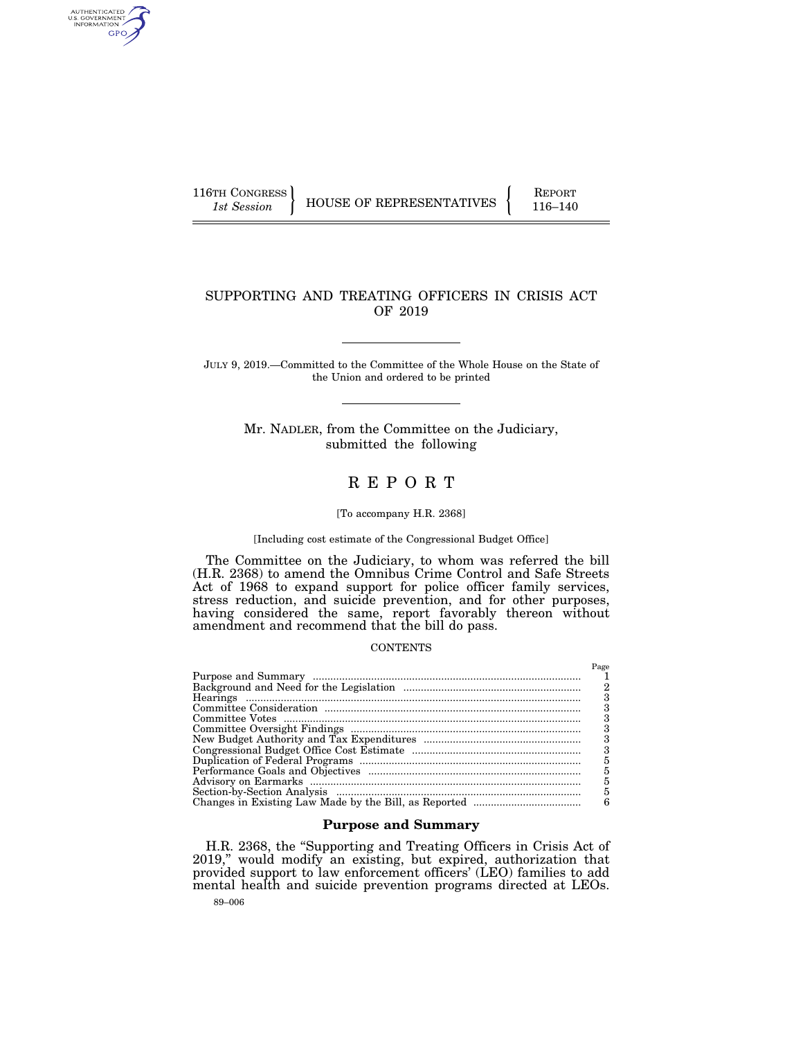AUTHENTICATED<br>U.S. GOVERNMENT<br>INFORMATION GPO

116TH CONGRESS HOUSE OF REPRESENTATIVES FEPORT 116–140

## SUPPORTING AND TREATING OFFICERS IN CRISIS ACT OF 2019

JULY 9, 2019.—Committed to the Committee of the Whole House on the State of the Union and ordered to be printed

> Mr. NADLER, from the Committee on the Judiciary, submitted the following

# R E P O R T

## [To accompany H.R. 2368]

### [Including cost estimate of the Congressional Budget Office]

The Committee on the Judiciary, to whom was referred the bill (H.R. 2368) to amend the Omnibus Crime Control and Safe Streets Act of 1968 to expand support for police officer family services, stress reduction, and suicide prevention, and for other purposes, having considered the same, report favorably thereon without amendment and recommend that the bill do pass.

## **CONTENTS**

| Page |
|------|
|      |
|      |
|      |
|      |
|      |
|      |
| 3    |
| 3    |
| 5    |
| 5    |
| 5    |
| 5    |
| 6    |

## **Purpose and Summary**

H.R. 2368, the ''Supporting and Treating Officers in Crisis Act of 2019," would modify an existing, but expired, authorization that provided support to law enforcement officers' (LEO) families to add mental health and suicide prevention programs directed at LEOs.

89–006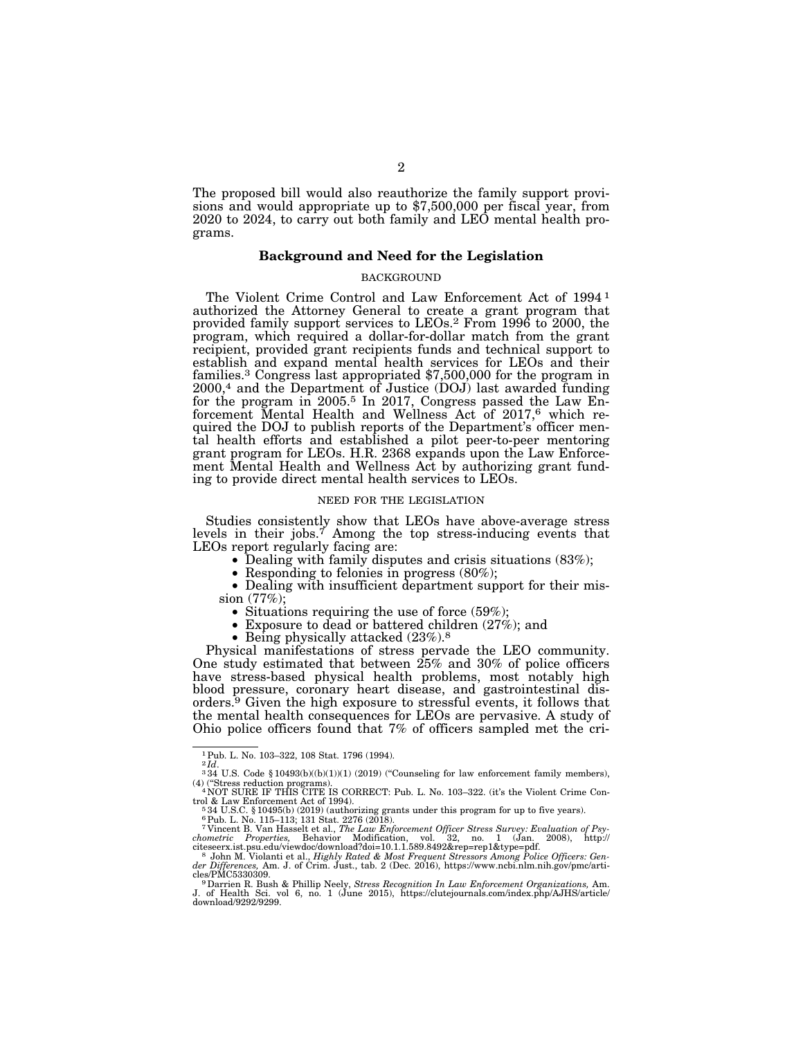The proposed bill would also reauthorize the family support provisions and would appropriate up to \$7,500,000 per fiscal year, from 2020 to 2024, to carry out both family and LEO mental health programs.

### **Background and Need for the Legislation**

#### BACKGROUND

The Violent Crime Control and Law Enforcement Act of 1994 1 authorized the Attorney General to create a grant program that provided family support services to LEOs.2 From 1996 to 2000, the program, which required a dollar-for-dollar match from the grant recipient, provided grant recipients funds and technical support to establish and expand mental health services for LEOs and their families.3 Congress last appropriated \$7,500,000 for the program in 2000,4 and the Department of Justice (DOJ) last awarded funding for the program in 2005.<sup>5</sup> In 2017, Congress passed the Law Enforcement Mental Health and Wellness Act of 2017,<sup>6</sup> which required the DOJ to publish reports of the Department's officer mental health efforts and established a pilot peer-to-peer mentoring grant program for LEOs. H.R. 2368 expands upon the Law Enforcement Mental Health and Wellness Act by authorizing grant funding to provide direct mental health services to LEOs.

#### NEED FOR THE LEGISLATION

Studies consistently show that LEOs have above-average stress levels in their jobs.<sup>7</sup> Among the top stress-inducing events that LEOs report regularly facing are:

• Dealing with family disputes and crisis situations (83%);<br>• Responding to felonies in progress (80%);<br>• Dealing with insufficient department support for their mis-<br>sion (77%);

- 
- Situations requiring the use of force (59%);<br>• Exposure to dead or battered children (27%); and<br>• Being physically attacked (23%).<sup>8</sup>
- 

Physical manifestations of stress pervade the LEO community. One study estimated that between 25% and 30% of police officers have stress-based physical health problems, most notably high blood pressure, coronary heart disease, and gastrointestinal disorders.9 Given the high exposure to stressful events, it follows that the mental health consequences for LEOs are pervasive. A study of Ohio police officers found that 7% of officers sampled met the cri-

 $^{1}$  Pub. L. No. 103–322, 108 Stat. 1796 (1994).  $^{2} \! \: Id.$ 

<sup>&</sup>lt;sup>3</sup> 34 U.S. Code § 10493(b)((b)(1)(1) (2019) ("Counseling for law enforcement family members), (4) (''Stress reduction programs). 4 NOT SURE IF THIS CITE IS CORRECT: Pub. L. No. 103–322. (it's the Violent Crime Con-

trol & Law Enforcement Act of 1994).<br>
<sup>5</sup> 34 U.S.C. § 10495(b) (2019) (authorizing grants under this program for up to five years).<br>
<sup>6</sup> Pub. L. No. 115–113; 131 Stat. 2276 (2018).<br>
<sup>7</sup> Vincent B. Van Hasselt et al., *The* 

citeseerx.ist.psu.edu/viewdoc/download?doi=10.1.1.589.8492&rep=rep1&type=pdf.<br>
<sup>8</sup> John M. Violanti et al., *Highly Rated & Most Frequent Stressors Among Police Officers: Gen-<br>
der Differences, Am. J. of Crim. Just., tab.*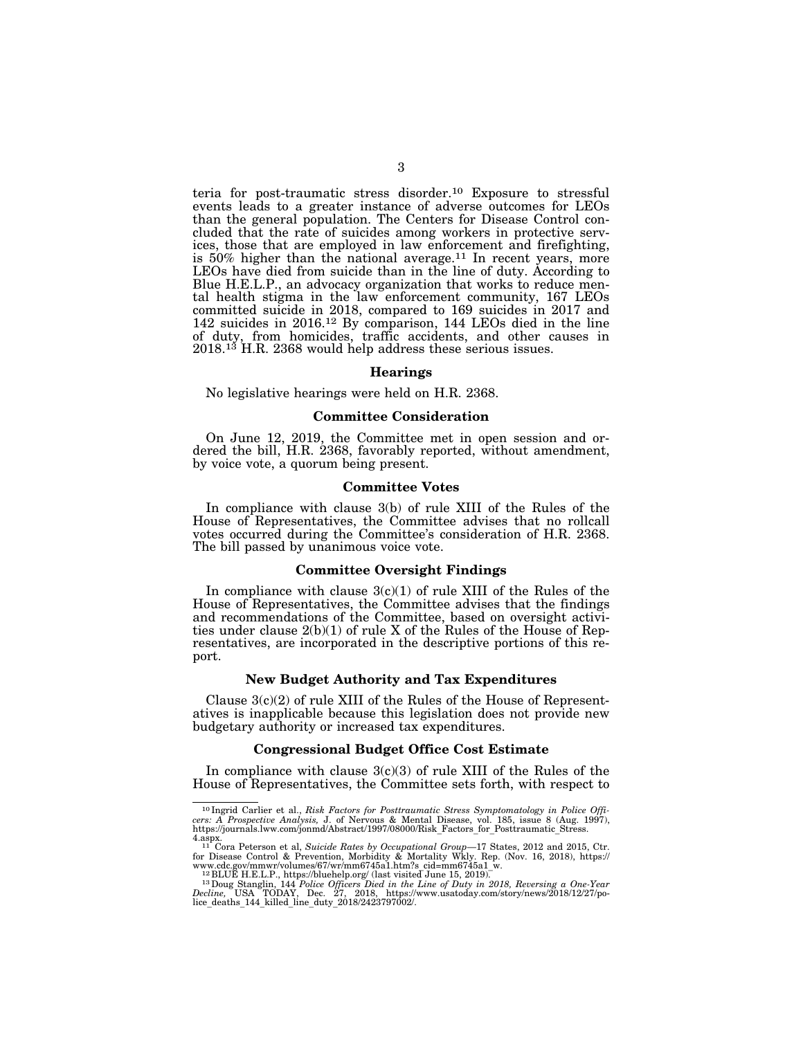teria for post-traumatic stress disorder.10 Exposure to stressful events leads to a greater instance of adverse outcomes for LEOs than the general population. The Centers for Disease Control concluded that the rate of suicides among workers in protective services, those that are employed in law enforcement and firefighting, is  $50\%$  higher than the national average.<sup>11</sup> In recent years, more LEOs have died from suicide than in the line of duty. According to Blue H.E.L.P., an advocacy organization that works to reduce mental health stigma in the law enforcement community, 167 LEOs committed suicide in 2018, compared to 169 suicides in 2017 and 142 suicides in 2016.12 By comparison, 144 LEOs died in the line of duty, from homicides, traffic accidents, and other causes in 2018.<sup>13</sup> H.R. 2368 would help address these serious issues.

### **Hearings**

No legislative hearings were held on H.R. 2368.

### **Committee Consideration**

On June 12, 2019, the Committee met in open session and ordered the bill, H.R. 2368, favorably reported, without amendment, by voice vote, a quorum being present.

### **Committee Votes**

In compliance with clause 3(b) of rule XIII of the Rules of the House of Representatives, the Committee advises that no rollcall votes occurred during the Committee's consideration of H.R. 2368. The bill passed by unanimous voice vote.

### **Committee Oversight Findings**

In compliance with clause  $3(c)(1)$  of rule XIII of the Rules of the House of Representatives, the Committee advises that the findings and recommendations of the Committee, based on oversight activities under clause 2(b)(1) of rule X of the Rules of the House of Representatives, are incorporated in the descriptive portions of this report.

## **New Budget Authority and Tax Expenditures**

Clause  $3(c)(2)$  of rule XIII of the Rules of the House of Representatives is inapplicable because this legislation does not provide new budgetary authority or increased tax expenditures.

### **Congressional Budget Office Cost Estimate**

In compliance with clause  $3(c)(3)$  of rule XIII of the Rules of the House of Representatives, the Committee sets forth, with respect to

<sup>10</sup> Ingrid Carlier et al., *Risk Factors for Posttraumatic Stress Symptomatology in Police Offi-cers: A Prospective Analysis,* J. of Nervous & Mental Disease, vol. 185, issue 8 (Aug. 1997), https://journals.lww.com/jonmd/Abstract/1997/08000/Risk\_Factors\_for\_Posttraumatic\_Stress.

<sup>4.</sup>aspx.<br>
<sup>11</sup> Cora Peterson et al, Suicide Rates by Occupational Group—17 States, 2012 and 2015, Ctr.<br>
<sup>11</sup> Cora Peterson & Prevention, Morbidity & Mortality Wkly. Rep. (Nov. 16, 2018), https://<br>
www.cdc.gov/mmwr/volumes/

*Decline,* USA TODAY, Dec. 27, 2018, https://www.usatoday.com/story/news/2018/12/27/po-lice\_deaths\_144\_killed\_line\_duty\_2018/2423797002/.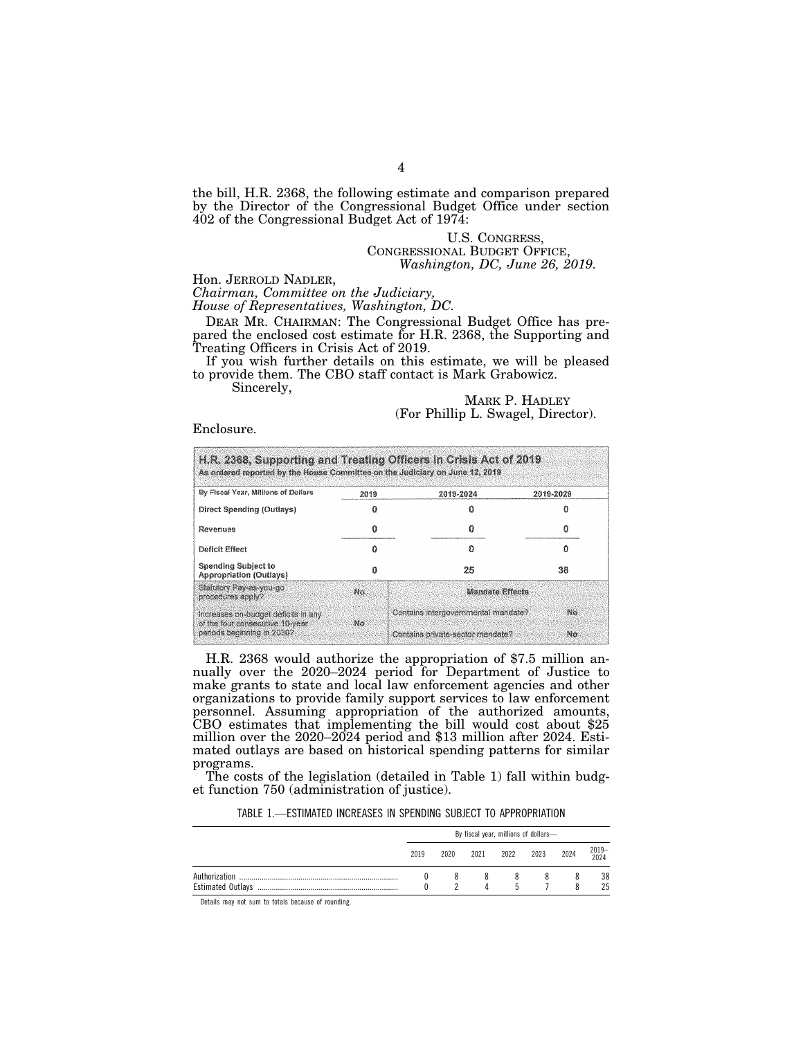the bill, H.R. 2368, the following estimate and comparison prepared by the Director of the Congressional Budget Office under section 402 of the Congressional Budget Act of 1974:

> U.S. CONGRESS, CONGRESSIONAL BUDGET OFFICE, *Washington, DC, June 26, 2019.*

Hon. JERROLD NADLER, *Chairman, Committee on the Judiciary,* 

*House of Representatives, Washington, DC.* 

DEAR MR. CHAIRMAN: The Congressional Budget Office has prepared the enclosed cost estimate for H.R. 2368, the Supporting and Treating Officers in Crisis Act of 2019.

If you wish further details on this estimate, we will be pleased to provide them. The CBO staff contact is Mark Grabowicz. Sincerely,

MARK P. HADLEY (For Phillip L. Swagel, Director).

Enclosure.

| As ordered reported by the House Committee on the Judiciary on June 12, 2019 |      |                                     |           |  |  |  |
|------------------------------------------------------------------------------|------|-------------------------------------|-----------|--|--|--|
| By Fiscal Year, Millions of Dollars                                          | 2019 | 2019-2024                           | 2019-2029 |  |  |  |
| Direct Spending (Outlays)                                                    |      |                                     |           |  |  |  |
| Revenues                                                                     |      |                                     |           |  |  |  |
| Deficit Effect                                                               |      |                                     |           |  |  |  |
| <b>Spending Subject to</b><br><b>Appropriation (Outlays)</b>                 |      | 25                                  | 38        |  |  |  |
| Statutory Pay-as-you-go<br>procedures apply?                                 | No.  | <b>Mandate Effects</b>              |           |  |  |  |
| Increases on-budget deficits in any<br>of the four consecutive 10-year       | No   | Contains intergovernmental mandate? | NO.       |  |  |  |
| periods beginning in 2030?                                                   |      | Contains private-sector mandate?    | No.       |  |  |  |

H.R. 2368 would authorize the appropriation of \$7.5 million annually over the 2020–2024 period for Department of Justice to make grants to state and local law enforcement agencies and other organizations to provide family support services to law enforcement personnel. Assuming appropriation of the authorized amounts, CBO estimates that implementing the bill would cost about \$25 million over the 2020–2024 period and \$13 million after 2024. Estimated outlays are based on historical spending patterns for similar programs.

The costs of the legislation (detailed in Table 1) fall within budget function 750 (administration of justice).

TABLE 1.—ESTIMATED INCREASES IN SPENDING SUBJECT TO APPROPRIATION

| By fiscal year, millions of dollars- |      |      |              |                |      |           |
|--------------------------------------|------|------|--------------|----------------|------|-----------|
| 2019                                 | 2020 | 2021 | 2022         | 2023           | 2024 | 2019-2024 |
|                                      |      |      |              | 8 <sup>2</sup> |      | 38        |
|                                      |      | Δ    | $\mathbf{h}$ |                |      | 25        |

Details may not sum to totals because of rounding.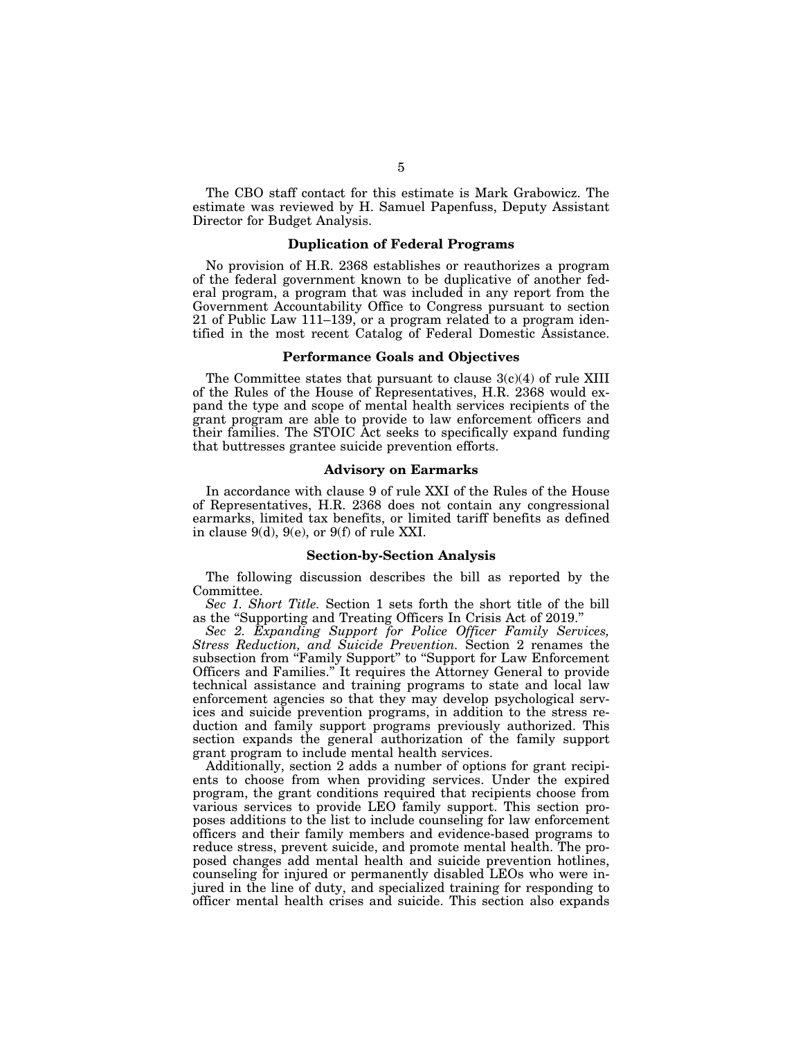The CBO staff contact for this estimate is Mark Grabowicz. The estimate was reviewed by H. Samuel Papenfuss, Deputy Assistant Director for Budget Analysis.

## **Duplication of Federal Programs**

No provision of H.R. 2368 establishes or reauthorizes a program of the federal government known to be duplicative of another federal program, a program that was included in any report from the Government Accountability Office to Congress pursuant to section 21 of Public Law 111–139, or a program related to a program identified in the most recent Catalog of Federal Domestic Assistance.

### **Performance Goals and Objectives**

The Committee states that pursuant to clause 3(c)(4) of rule XIII of the Rules of the House of Representatives, H.R. 2368 would expand the type and scope of mental health services recipients of the grant program are able to provide to law enforcement officers and their families. The STOIC Act seeks to specifically expand funding that buttresses grantee suicide prevention efforts.

### **Advisory on Earmarks**

In accordance with clause 9 of rule XXI of the Rules of the House of Representatives, H.R. 2368 does not contain any congressional earmarks, limited tax benefits, or limited tariff benefits as defined in clause 9(d), 9(e), or 9(f) of rule XXI.

### **Section-by-Section Analysis**

The following discussion describes the bill as reported by the Committee.

*Sec 1. Short Title.* Section 1 sets forth the short title of the bill as the ''Supporting and Treating Officers In Crisis Act of 2019.''

*Sec 2. Expanding Support for Police Officer Family Services, Stress Reduction, and Suicide Prevention.* Section 2 renames the subsection from "Family Support" to "Support for Law Enforcement Officers and Families.'' It requires the Attorney General to provide technical assistance and training programs to state and local law enforcement agencies so that they may develop psychological services and suicide prevention programs, in addition to the stress reduction and family support programs previously authorized. This section expands the general authorization of the family support grant program to include mental health services.

Additionally, section 2 adds a number of options for grant recipients to choose from when providing services. Under the expired program, the grant conditions required that recipients choose from various services to provide LEO family support. This section proposes additions to the list to include counseling for law enforcement officers and their family members and evidence-based programs to reduce stress, prevent suicide, and promote mental health. The proposed changes add mental health and suicide prevention hotlines, counseling for injured or permanently disabled LEOs who were injured in the line of duty, and specialized training for responding to officer mental health crises and suicide. This section also expands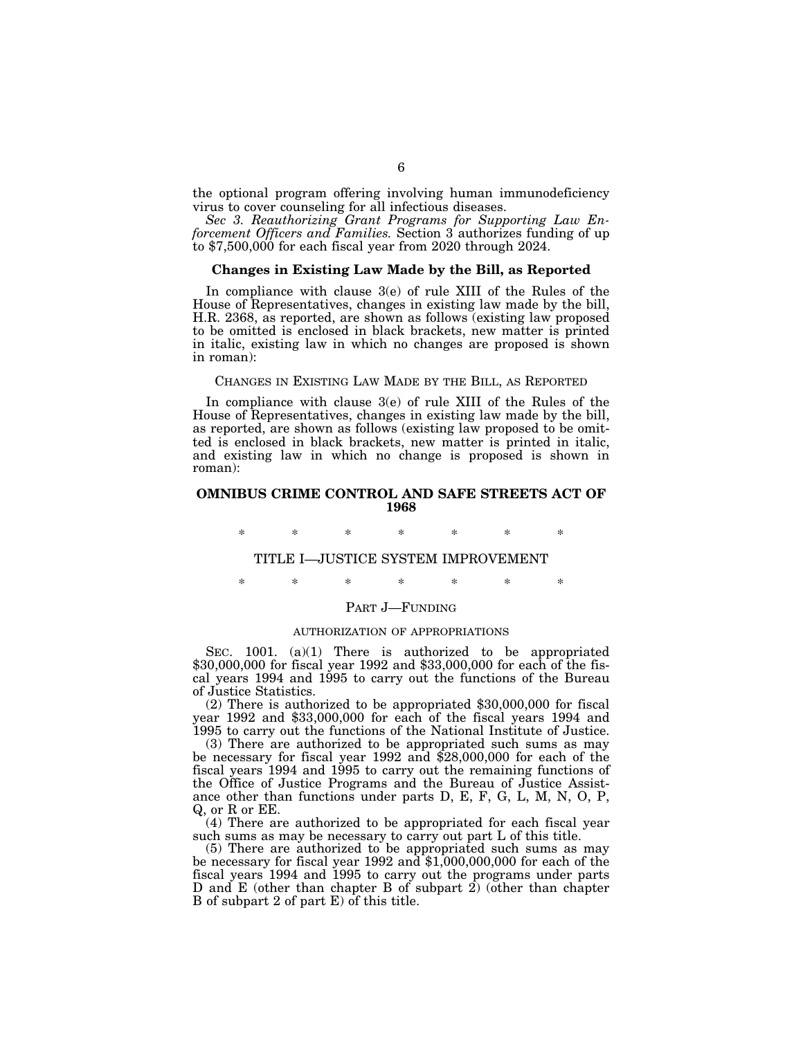the optional program offering involving human immunodeficiency virus to cover counseling for all infectious diseases.

*Sec 3. Reauthorizing Grant Programs for Supporting Law Enforcement Officers and Families.* Section 3 authorizes funding of up to  $$7,500,000$  for each fiscal year from 2020 through 2024.

### **Changes in Existing Law Made by the Bill, as Reported**

In compliance with clause 3(e) of rule XIII of the Rules of the House of Representatives, changes in existing law made by the bill, H.R. 2368, as reported, are shown as follows (existing law proposed to be omitted is enclosed in black brackets, new matter is printed in italic, existing law in which no changes are proposed is shown in roman):

## CHANGES IN EXISTING LAW MADE BY THE BILL, AS REPORTED

In compliance with clause 3(e) of rule XIII of the Rules of the House of Representatives, changes in existing law made by the bill, as reported, are shown as follows (existing law proposed to be omitted is enclosed in black brackets, new matter is printed in italic, and existing law in which no change is proposed is shown in roman):

## **OMNIBUS CRIME CONTROL AND SAFE STREETS ACT OF 1968**

\* \* \* \* \* \* \*

## TITLE I—JUSTICE SYSTEM IMPROVEMENT

\* \* \* \* \* \* \*

#### PART J—FUNDING

#### AUTHORIZATION OF APPROPRIATIONS

SEC. 1001. (a)(1) There is authorized to be appropriated \$30,000,000 for fiscal year 1992 and \$33,000,000 for each of the fiscal years 1994 and 1995 to carry out the functions of the Bureau of Justice Statistics.

(2) There is authorized to be appropriated \$30,000,000 for fiscal year 1992 and \$33,000,000 for each of the fiscal years 1994 and 1995 to carry out the functions of the National Institute of Justice.

(3) There are authorized to be appropriated such sums as may be necessary for fiscal year 1992 and \$28,000,000 for each of the fiscal years 1994 and 1995 to carry out the remaining functions of the Office of Justice Programs and the Bureau of Justice Assistance other than functions under parts D, E, F, G, L, M, N, O, P, Q, or R or EE.

(4) There are authorized to be appropriated for each fiscal year such sums as may be necessary to carry out part L of this title.

(5) There are authorized to be appropriated such sums as may be necessary for fiscal year 1992 and \$1,000,000,000 for each of the fiscal years 1994 and 1995 to carry out the programs under parts D and E (other than chapter B of subpart 2) (other than chapter B of subpart 2 of part E) of this title.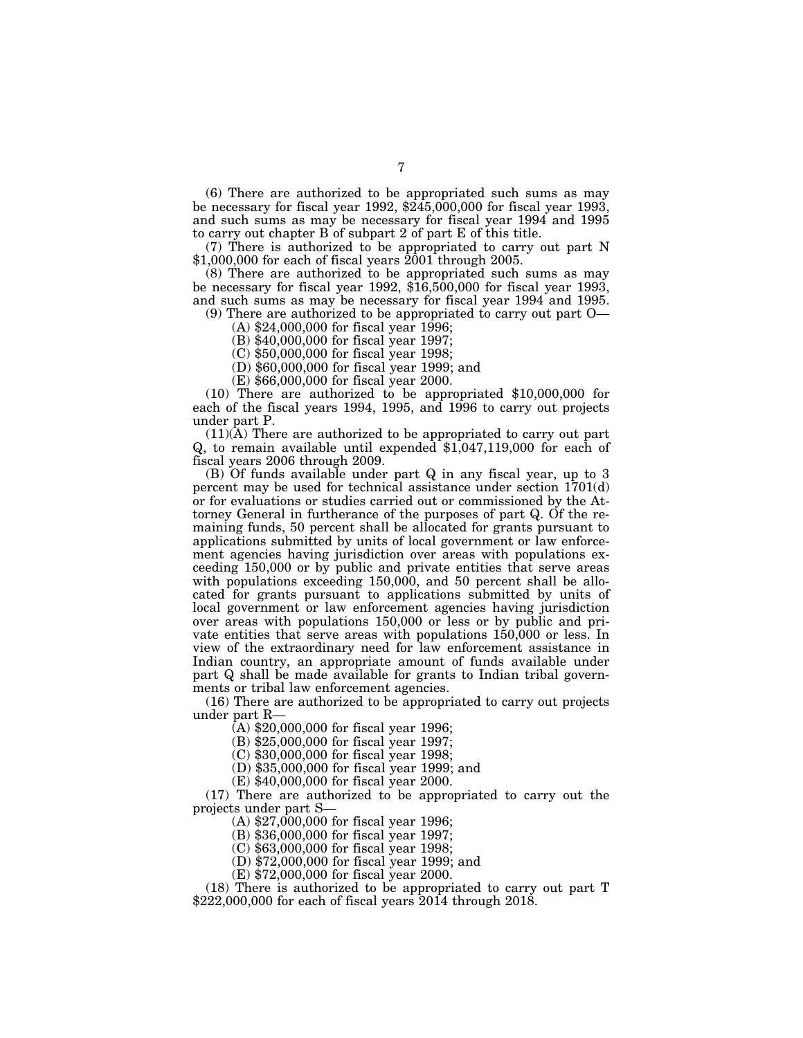(6) There are authorized to be appropriated such sums as may be necessary for fiscal year 1992, \$245,000,000 for fiscal year 1993, and such sums as may be necessary for fiscal year 1994 and 1995 to carry out chapter B of subpart 2 of part E of this title.

(7) There is authorized to be appropriated to carry out part N  $$1,000,000$  for each of fiscal years  $2001$  through 2005.

(8) There are authorized to be appropriated such sums as may be necessary for fiscal year 1992, \$16,500,000 for fiscal year 1993, and such sums as may be necessary for fiscal year 1994 and 1995.

(9) There are authorized to be appropriated to carry out part O— (A) \$24,000,000 for fiscal year 1996;

(B) \$40,000,000 for fiscal year 1997;

(C) \$50,000,000 for fiscal year 1998;

(D) \$60,000,000 for fiscal year 1999; and

(E) \$66,000,000 for fiscal year 2000.

(10) There are authorized to be appropriated \$10,000,000 for each of the fiscal years 1994, 1995, and 1996 to carry out projects under part P.

(11)(A) There are authorized to be appropriated to carry out part Q, to remain available until expended \$1,047,119,000 for each of fiscal years 2006 through 2009.

(B) Of funds available under part Q in any fiscal year, up to 3 percent may be used for technical assistance under section 1701(d) or for evaluations or studies carried out or commissioned by the Attorney General in furtherance of the purposes of part Q. Of the remaining funds, 50 percent shall be allocated for grants pursuant to applications submitted by units of local government or law enforcement agencies having jurisdiction over areas with populations exceeding 150,000 or by public and private entities that serve areas with populations exceeding 150,000, and 50 percent shall be allocated for grants pursuant to applications submitted by units of local government or law enforcement agencies having jurisdiction over areas with populations 150,000 or less or by public and private entities that serve areas with populations 150,000 or less. In view of the extraordinary need for law enforcement assistance in Indian country, an appropriate amount of funds available under part Q shall be made available for grants to Indian tribal governments or tribal law enforcement agencies.

(16) There are authorized to be appropriated to carry out projects under part R—

 $(A)$  \$20,000,000 for fiscal year 1996;

(B) \$25,000,000 for fiscal year 1997;

(C) \$30,000,000 for fiscal year 1998;

(D) \$35,000,000 for fiscal year 1999; and

(E) \$40,000,000 for fiscal year 2000.

(17) There are authorized to be appropriated to carry out the projects under part S—

(A) \$27,000,000 for fiscal year 1996;

(B) \$36,000,000 for fiscal year 1997;

(C) \$63,000,000 for fiscal year 1998;

(D) \$72,000,000 for fiscal year 1999; and

(E) \$72,000,000 for fiscal year 2000.

(18) There is authorized to be appropriated to carry out part T \$222,000,000 for each of fiscal years 2014 through 2018.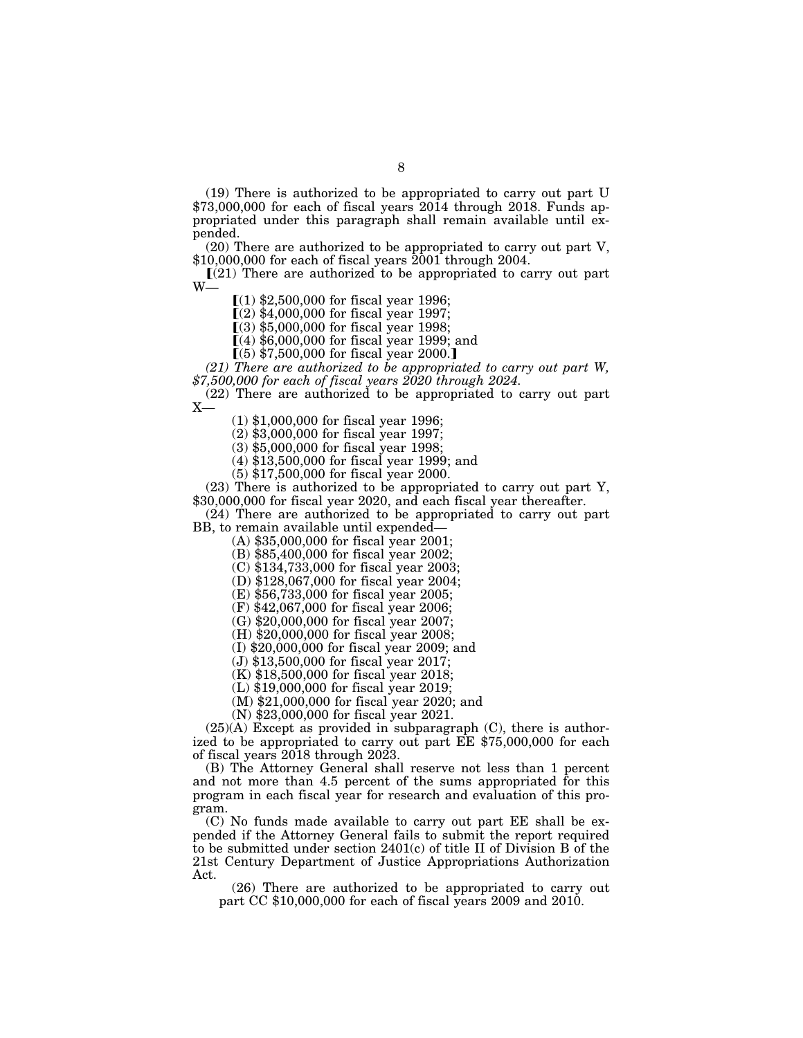(19) There is authorized to be appropriated to carry out part U  $$73,000,000$  for each of fiscal years  $2014$  through 2018. Funds appropriated under this paragraph shall remain available until expended.

(20) There are authorized to be appropriated to carry out part V, \$10,000,000 for each of fiscal years 2001 through 2004.

 $[(21)$  There are authorized to be appropriated to carry out part W—

 $(1)$  \$2,500,000 for fiscal year 1996;

 $(2)$  \$4,000,000 for fiscal year 1997;

 $(3)$  \$5,000,000 for fiscal year 1998;

 $(4)$  \$6,000,000 for fiscal year 1999; and

 $(5)$  \$7,500,000 for fiscal year 2000.]

*(21) There are authorized to be appropriated to carry out part W, \$7,500,000 for each of fiscal years 2020 through 2024.* 

(22) There are authorized to be appropriated to carry out part  $X-$ 

(1) \$1,000,000 for fiscal year 1996;

(2) \$3,000,000 for fiscal year 1997;

(3) \$5,000,000 for fiscal year 1998;

(4) \$13,500,000 for fiscal year 1999; and

(5) \$17,500,000 for fiscal year 2000.

(23) There is authorized to be appropriated to carry out part Y, \$30,000,000 for fiscal year 2020, and each fiscal year thereafter.

(24) There are authorized to be appropriated to carry out part BB, to remain available until expended—

(A) \$35,000,000 for fiscal year 2001;

(B) \$85,400,000 for fiscal year 2002;

(C) \$134,733,000 for fiscal year 2003;

(D) \$128,067,000 for fiscal year 2004;

(E) \$56,733,000 for fiscal year 2005;

(F) \$42,067,000 for fiscal year 2006;

(G) \$20,000,000 for fiscal year 2007;

(H) \$20,000,000 for fiscal year 2008;

(I) \$20,000,000 for fiscal year 2009; and

(J) \$13,500,000 for fiscal year 2017;

(K) \$18,500,000 for fiscal year 2018;

(L) \$19,000,000 for fiscal year 2019;

(M) \$21,000,000 for fiscal year 2020; and

(N) \$23,000,000 for fiscal year 2021.

(25)(A) Except as provided in subparagraph (C), there is authorized to be appropriated to carry out part EE \$75,000,000 for each of fiscal years 2018 through 2023.

(B) The Attorney General shall reserve not less than 1 percent and not more than 4.5 percent of the sums appropriated for this program in each fiscal year for research and evaluation of this program.

(C) No funds made available to carry out part EE shall be expended if the Attorney General fails to submit the report required to be submitted under section 2401(c) of title II of Division B of the 21st Century Department of Justice Appropriations Authorization Act.

(26) There are authorized to be appropriated to carry out part CC \$10,000,000 for each of fiscal years 2009 and 2010.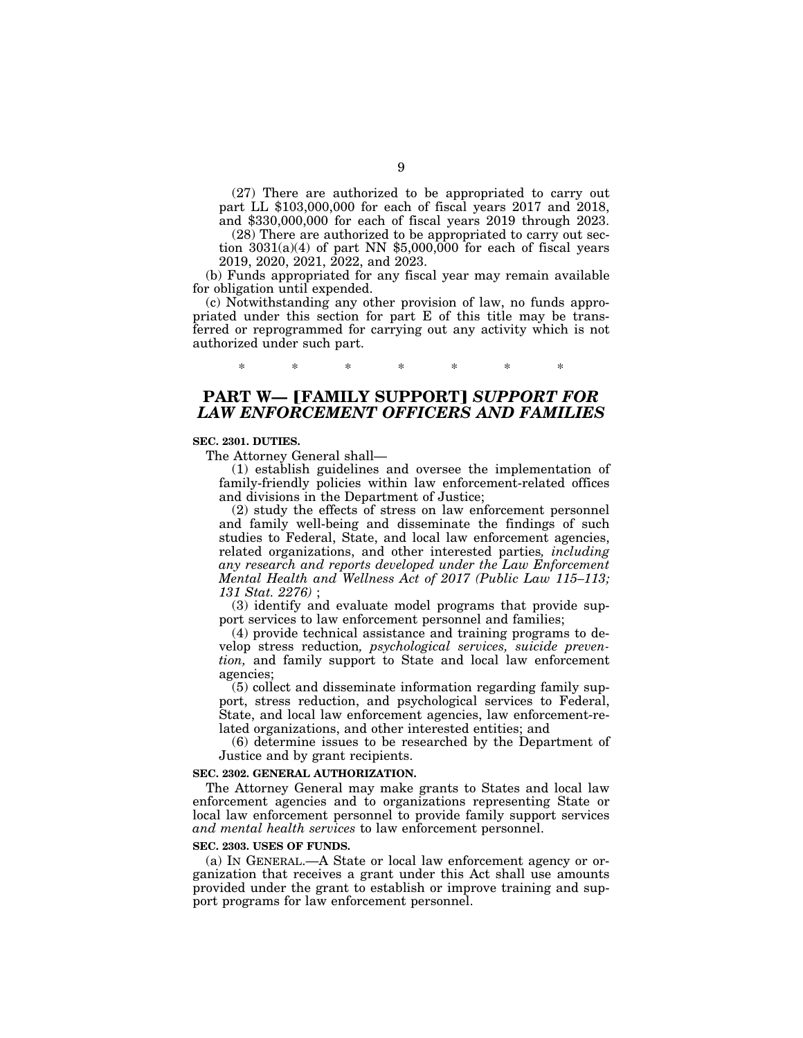(27) There are authorized to be appropriated to carry out part LL \$103,000,000 for each of fiscal years 2017 and 2018, and \$330,000,000 for each of fiscal years 2019 through 2023.

(28) There are authorized to be appropriated to carry out section  $3031(a)(4)$  of part NN \$5,000,000 for each of fiscal years 2019, 2020, 2021, 2022, and 2023.

(b) Funds appropriated for any fiscal year may remain available for obligation until expended.

(c) Notwithstanding any other provision of law, no funds appropriated under this section for part E of this title may be transferred or reprogrammed for carrying out any activity which is not authorized under such part.

\* \* \* \* \* \* \*

# **PART W— [FAMILY SUPPORT] SUPPORT FOR** *LAW ENFORCEMENT OFFICERS AND FAMILIES*

### **SEC. 2301. DUTIES.**

The Attorney General shall—

(1) establish guidelines and oversee the implementation of family-friendly policies within law enforcement-related offices and divisions in the Department of Justice;

(2) study the effects of stress on law enforcement personnel and family well-being and disseminate the findings of such studies to Federal, State, and local law enforcement agencies, related organizations, and other interested parties*, including any research and reports developed under the Law Enforcement Mental Health and Wellness Act of 2017 (Public Law 115–113; 131 Stat. 2276)* ;

(3) identify and evaluate model programs that provide support services to law enforcement personnel and families;

(4) provide technical assistance and training programs to develop stress reduction*, psychological services, suicide prevention,* and family support to State and local law enforcement agencies;

(5) collect and disseminate information regarding family support, stress reduction, and psychological services to Federal, State, and local law enforcement agencies, law enforcement-related organizations, and other interested entities; and

(6) determine issues to be researched by the Department of Justice and by grant recipients.

#### **SEC. 2302. GENERAL AUTHORIZATION.**

The Attorney General may make grants to States and local law enforcement agencies and to organizations representing State or local law enforcement personnel to provide family support services *and mental health services* to law enforcement personnel.

#### **SEC. 2303. USES OF FUNDS.**

(a) IN GENERAL.—A State or local law enforcement agency or organization that receives a grant under this Act shall use amounts provided under the grant to establish or improve training and support programs for law enforcement personnel.